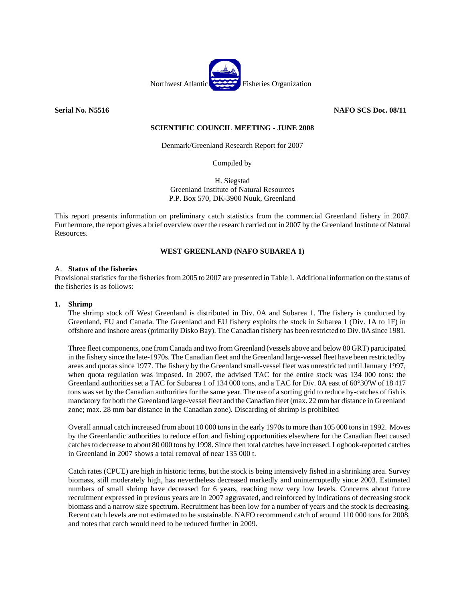

**Serial No. N5516** NAFO SCS Doc. 08/11

# **SCIENTIFIC COUNCIL MEETING - JUNE 2008**

Denmark/Greenland Research Report for 2007

Compiled by

H. Siegstad Greenland Institute of Natural Resources P.P. Box 570, DK-3900 Nuuk, Greenland

This report presents information on preliminary catch statistics from the commercial Greenland fishery in 2007. Furthermore, the report gives a brief overview over the research carried out in 2007 by the Greenland Institute of Natural Resources.

# **WEST GREENLAND (NAFO SUBAREA 1)**

## A. **Status of the fisheries**

Provisional statistics for the fisheries from 2005 to 2007 are presented in Table 1. Additional information on the status of the fisheries is as follows:

## **1. Shrimp**

The shrimp stock off West Greenland is distributed in Div. 0A and Subarea 1. The fishery is conducted by Greenland, EU and Canada. The Greenland and EU fishery exploits the stock in Subarea 1 (Div. 1A to 1F) in offshore and inshore areas (primarily Disko Bay). The Canadian fishery has been restricted to Div. 0A since 1981.

Three fleet components, one from Canada and two from Greenland (vessels above and below 80 GRT) participated in the fishery since the late-1970s. The Canadian fleet and the Greenland large-vessel fleet have been restricted by areas and quotas since 1977. The fishery by the Greenland small-vessel fleet was unrestricted until January 1997, when quota regulation was imposed. In 2007, the advised TAC for the entire stock was 134 000 tons: the Greenland authorities set a TAC for Subarea 1 of 134 000 tons, and a TAC for Div. 0A east of 60°30'W of 18 417 tons was set by the Canadian authorities for the same year. The use of a sorting grid to reduce by-catches of fish is mandatory for both the Greenland large-vessel fleet and the Canadian fleet (max. 22 mm bar distance in Greenland zone; max. 28 mm bar distance in the Canadian zone). Discarding of shrimp is prohibited

Overall annual catch increased from about 10 000 tons in the early 1970s to more than 105 000 tons in 1992. Moves by the Greenlandic authorities to reduce effort and fishing opportunities elsewhere for the Canadian fleet caused catches to decrease to about 80 000 tons by 1998. Since then total catches have increased. Logbook-reported catches in Greenland in 2007 shows a total removal of near 135 000 t.

Catch rates (CPUE) are high in historic terms, but the stock is being intensively fished in a shrinking area. Survey biomass, still moderately high, has nevertheless decreased markedly and uninterruptedly since 2003. Estimated numbers of small shrimp have decreased for 6 years, reaching now very low levels. Concerns about future recruitment expressed in previous years are in 2007 aggravated, and reinforced by indications of decreasing stock biomass and a narrow size spectrum. Recruitment has been low for a number of years and the stock is decreasing. Recent catch levels are not estimated to be sustainable. NAFO recommend catch of around 110 000 tons for 2008, and notes that catch would need to be reduced further in 2009.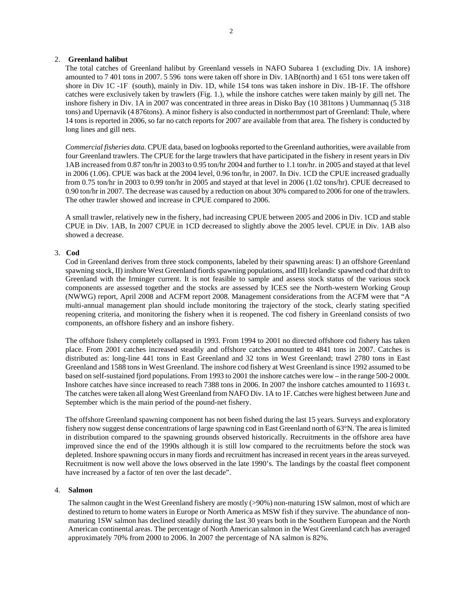## 2. **Greenland halibut**

The total catches of Greenland halibut by Greenland vessels in NAFO Subarea 1 (excluding Div. 1A inshore) amounted to 7 401 tons in 2007. 5 596 tons were taken off shore in Div. 1AB(north) and 1 651 tons were taken off shore in Div 1C -1F (south), mainly in Div. 1D, while 154 tons was taken inshore in Div. 1B-1F. The offshore catches were exclusively taken by trawlers (Fig. 1.), while the inshore catches were taken mainly by gill net. The inshore fishery in Div. 1A in 2007 was concentrated in three areas in Disko Bay (10 381tons ) Uummannaq (5 318 tons) and Upernavik (4 876tons). A minor fishery is also conducted in northernmost part of Greenland: Thule, where 14 tons is reported in 2006, so far no catch reports for 2007 are available from that area. The fishery is conducted by long lines and gill nets.

*Commercial fisheries data.* CPUE data, based on logbooks reported to the Greenland authorities, were available from four Greenland trawlers. The CPUE for the large trawlers that have participated in the fishery in resent years in Div 1AB increased from 0.87 ton/hr in 2003 to 0.95 ton/hr 2004 and further to 1.1 ton/hr. in 2005 and stayed at that level in 2006 (1.06). CPUE was back at the 2004 level, 0.96 ton/hr, in 2007. In Div. 1CD the CPUE increased gradually from 0.75 ton/hr in 2003 to 0.99 ton/hr in 2005 and stayed at that level in 2006 (1.02 tons/hr). CPUE decreased to 0.90 ton/hr in 2007. The decrease was caused by a reduction on about 30% compared to 2006 for one of the trawlers. The other trawler showed and increase in CPUE compared to 2006.

A small trawler, relatively new in the fishery, had increasing CPUE between 2005 and 2006 in Div. 1CD and stable CPUE in Div. 1AB, In 2007 CPUE in 1CD decreased to slightly above the 2005 level. CPUE in Div. 1AB also showed a decrease.

## 3. **Cod**

Cod in Greenland derives from three stock components, labeled by their spawning areas: I) an offshore Greenland spawning stock, II) inshore West Greenland fiords spawning populations, and III) Icelandic spawned cod that drift to Greenland with the Irminger current. It is not feasible to sample and assess stock status of the various stock components are assessed together and the stocks are assessed by ICES see the North-western Working Group (NWWG) report, April 2008 and ACFM report 2008. Management considerations from the ACFM were that "A multi-annual management plan should include monitoring the trajectory of the stock, clearly stating specified reopening criteria, and monitoring the fishery when it is reopened. The cod fishery in Greenland consists of two components, an offshore fishery and an inshore fishery.

The offshore fishery completely collapsed in 1993. From 1994 to 2001 no directed offshore cod fishery has taken place. From 2001 catches increased steadily and offshore catches amounted to 4841 tons in 2007. Catches is distributed as: long-line 441 tons in East Greenland and 32 tons in West Greenland; trawl 2780 tons in East Greenland and 1588 tons in West Greenland. The inshore cod fishery at West Greenland is since 1992 assumed to be based on self-sustained fjord populations. From 1993 to 2001 the inshore catches were low – in the range 500-2 000t. Inshore catches have since increased to reach 7388 tons in 2006. In 2007 the inshore catches amounted to 11693 t. The catches were taken all along West Greenland from NAFO Div. 1A to 1F. Catches were highest between June and September which is the main period of the pound-net fishery.

The offshore Greenland spawning component has not been fished during the last 15 years. Surveys and exploratory fishery now suggest dense concentrations of large spawning cod in East Greenland north of 63°N. The area is limited in distribution compared to the spawning grounds observed historically. Recruitments in the offshore area have improved since the end of the 1990s although it is still low compared to the recruitments before the stock was depleted. Inshore spawning occurs in many fiords and recruitment has increased in recent years in the areas surveyed. Recruitment is now well above the lows observed in the late 1990's. The landings by the coastal fleet component have increased by a factor of ten over the last decade".

#### 4. **Salmon**

The salmon caught in the West Greenland fishery are mostly (>90%) non-maturing 1SW salmon, most of which are destined to return to home waters in Europe or North America as MSW fish if they survive. The abundance of nonmaturing 1SW salmon has declined steadily during the last 30 years both in the Southern European and the North American continental areas. The percentage of North American salmon in the West Greenland catch has averaged approximately 70% from 2000 to 2006. In 2007 the percentage of NA salmon is 82%.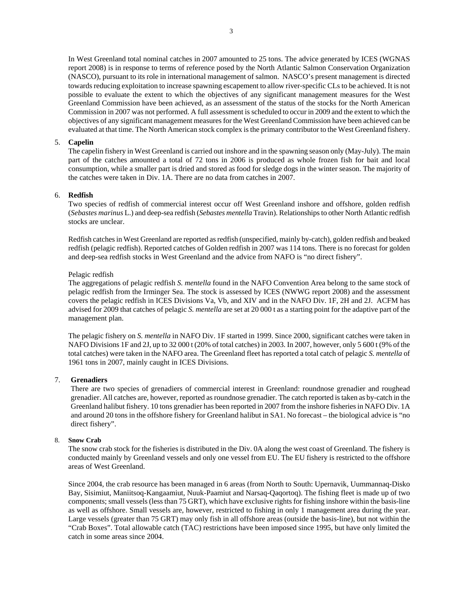In West Greenland total nominal catches in 2007 amounted to 25 tons. The advice generated by ICES (WGNAS report 2008) is in response to terms of reference posed by the North Atlantic Salmon Conservation Organization (NASCO), pursuant to its role in international management of salmon. NASCO's present management is directed towards reducing exploitation to increase spawning escapement to allow river‐specific CLs to be achieved. It is not possible to evaluate the extent to which the objectives of any significant management measures for the West Greenland Commission have been achieved, as an assessment of the status of the stocks for the North American Commission in 2007 was not performed. A full assessment is scheduled to occur in 2009 and the extent to which the objectives of any significant management measures for the West Greenland Commission have been achieved can be evaluated at that time. The North American stock complex is the primary contributor to the West Greenland fishery.

# 5. **Capelin**

The capelin fishery in West Greenland is carried out inshore and in the spawning season only (May-July). The main part of the catches amounted a total of 72 tons in 2006 is produced as whole frozen fish for bait and local consumption, while a smaller part is dried and stored as food for sledge dogs in the winter season. The majority of the catches were taken in Div. 1A. There are no data from catches in 2007.

## 6. **Redfish**

Two species of redfish of commercial interest occur off West Greenland inshore and offshore, golden redfish (*Sebastes marinus* L.) and deep-sea redfish (*Sebastes mentella* Travin). Relationships to other North Atlantic redfish stocks are unclear.

Redfish catches in West Greenland are reported as redfish (unspecified, mainly by-catch), golden redfish and beaked redfish (pelagic redfish). Reported catches of Golden redfish in 2007 was 114 tons. There is no forecast for golden and deep-sea redfish stocks in West Greenland and the advice from NAFO is "no direct fishery".

#### Pelagic redfish

The aggregations of pelagic redfish *S. mentella* found in the NAFO Convention Area belong to the same stock of pelagic redfish from the Irminger Sea. The stock is assessed by ICES (NWWG report 2008) and the assessment covers the pelagic redfish in ICES Divisions Va, Vb, and XIV and in the NAFO Div. 1F, 2H and 2J. ACFM has advised for 2009 that catches of pelagic *S. mentella* are set at 20 000 t as a starting point for the adaptive part of the management plan.

The pelagic fishery on *S. mentella* in NAFO Div. 1F started in 1999. Since 2000, significant catches were taken in NAFO Divisions 1F and 2J, up to 32 000 t (20% of total catches) in 2003. In 2007, however, only 5 600 t (9% of the total catches) were taken in the NAFO area. The Greenland fleet has reported a total catch of pelagic *S. mentella* of 1961 tons in 2007, mainly caught in ICES Divisions.

# 7. **Grenadiers**

There are two species of grenadiers of commercial interest in Greenland: roundnose grenadier and roughead grenadier. All catches are, however, reported as roundnose grenadier. The catch reported is taken as by-catch in the Greenland halibut fishery. 10 tons grenadier has been reported in 2007 from the inshore fisheries in NAFO Div. 1A and around 20 tons in the offshore fishery for Greenland halibut in SA1. No forecast – the biological advice is "no direct fishery".

#### 8. **Snow Crab**

The snow crab stock for the fisheries is distributed in the Div. 0A along the west coast of Greenland. The fishery is conducted mainly by Greenland vessels and only one vessel from EU. The EU fishery is restricted to the offshore areas of West Greenland.

Since 2004, the crab resource has been managed in 6 areas (from North to South: Upernavik, Uummannaq-Disko Bay, Sisimiut, Maniitsoq-Kangaamiut, Nuuk-Paamiut and Narsaq-Qaqortoq). The fishing fleet is made up of two components; small vessels (less than 75 GRT), which have exclusive rights for fishing inshore within the basis-line as well as offshore. Small vessels are, however, restricted to fishing in only 1 management area during the year. Large vessels (greater than 75 GRT) may only fish in all offshore areas (outside the basis-line), but not within the "Crab Boxes". Total allowable catch (TAC) restrictions have been imposed since 1995, but have only limited the catch in some areas since 2004.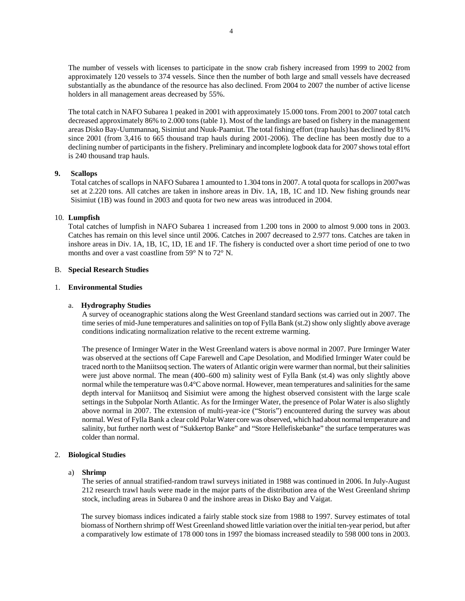The number of vessels with licenses to participate in the snow crab fishery increased from 1999 to 2002 from approximately 120 vessels to 374 vessels. Since then the number of both large and small vessels have decreased substantially as the abundance of the resource has also declined. From 2004 to 2007 the number of active license holders in all management areas decreased by 55%.

The total catch in NAFO Subarea 1 peaked in 2001 with approximately 15.000 tons. From 2001 to 2007 total catch decreased approximately 86% to 2.000 tons (table 1). Most of the landings are based on fishery in the management areas Disko Bay-Uummannaq, Sisimiut and Nuuk-Paamiut. The total fishing effort (trap hauls) has declined by 81% since 2001 (from 3,416 to 665 thousand trap hauls during 2001-2006). The decline has been mostly due to a declining number of participants in the fishery. Preliminary and incomplete logbook data for 2007 shows total effort is 240 thousand trap hauls.

## **9. Scallops**

Total catches of scallops in NAFO Subarea 1 amounted to 1.304 tons in 2007. A total quota for scallops in 2007was set at 2.220 tons. All catches are taken in inshore areas in Div. 1A, 1B, 1C and 1D. New fishing grounds near Sisimiut (1B) was found in 2003 and quota for two new areas was introduced in 2004.

## 10. **Lumpfish**

Total catches of lumpfish in NAFO Subarea 1 increased from 1.200 tons in 2000 to almost 9.000 tons in 2003. Catches has remain on this level since until 2006. Catches in 2007 decreased to 2.977 tons. Catches are taken in inshore areas in Div. 1A, 1B, 1C, 1D, 1E and 1F. The fishery is conducted over a short time period of one to two months and over a vast coastline from 59° N to 72° N.

## B. **Special Research Studies**

## 1. **Environmental Studies**

#### a. **Hydrography Studies**

A survey of oceanographic stations along the West Greenland standard sections was carried out in 2007. The time series of mid-June temperatures and salinities on top of Fylla Bank (st.2) show only slightly above average conditions indicating normalization relative to the recent extreme warming.

The presence of Irminger Water in the West Greenland waters is above normal in 2007. Pure Irminger Water was observed at the sections off Cape Farewell and Cape Desolation, and Modified Irminger Water could be traced north to the Maniitsoq section. The waters of Atlantic origin were warmer than normal, but their salinities were just above normal. The mean (400–600 m) salinity west of Fylla Bank (st.4) was only slightly above normal while the temperature was 0.4°C above normal. However, mean temperatures and salinities for the same depth interval for Maniitsoq and Sisimiut were among the highest observed consistent with the large scale settings in the Subpolar North Atlantic. As for the Irminger Water, the presence of Polar Water is also slightly above normal in 2007. The extension of multi-year-ice ("Storis") encountered during the survey was about normal. West of Fylla Bank a clear cold Polar Water core was observed, which had about normal temperature and salinity, but further north west of "Sukkertop Banke" and "Store Hellefiskebanke" the surface temperatures was colder than normal.

# 2. **Biological Studies**

### a) **Shrimp**

The series of annual stratified-random trawl surveys initiated in 1988 was continued in 2006. In July-August 212 research trawl hauls were made in the major parts of the distribution area of the West Greenland shrimp stock, including areas in Subarea 0 and the inshore areas in Disko Bay and Vaigat.

The survey biomass indices indicated a fairly stable stock size from 1988 to 1997. Survey estimates of total biomass of Northern shrimp off West Greenland showed little variation over the initial ten-year period, but after a comparatively low estimate of 178 000 tons in 1997 the biomass increased steadily to 598 000 tons in 2003.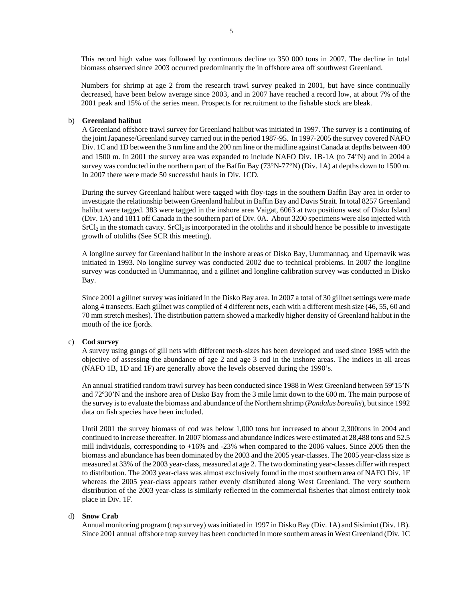This record high value was followed by continuous decline to 350 000 tons in 2007. The decline in total biomass observed since 2003 occurred predominantly the in offshore area off southwest Greenland.

Numbers for shrimp at age 2 from the research trawl survey peaked in 2001, but have since continually decreased, have been below average since 2003, and in 2007 have reached a record low, at about 7% of the 2001 peak and 15% of the series mean. Prospects for recruitment to the fishable stock are bleak.

# b) **Greenland halibut**

A Greenland offshore trawl survey for Greenland halibut was initiated in 1997. The survey is a continuing of the joint Japanese/Greenland survey carried out in the period 1987-95. In 1997-2005 the survey covered NAFO Div. 1C and 1D between the 3 nm line and the 200 nm line or the midline against Canada at depths between 400 and 1500 m. In 2001 the survey area was expanded to include NAFO Div. 1B-1A (to 74°N) and in 2004 a survey was conducted in the northern part of the Baffin Bay (73°N-77°N) (Div. 1A) at depths down to 1500 m. In 2007 there were made 50 successful hauls in Div. 1CD.

During the survey Greenland halibut were tagged with floy-tags in the southern Baffin Bay area in order to investigate the relationship between Greenland halibut in Baffin Bay and Davis Strait. In total 8257 Greenland halibut were tagged. 383 were tagged in the inshore area Vaigat, 6063 at two positions west of Disko Island (Div. 1A) and 1811 off Canada in the southern part of Div. 0A. About 3200 specimens were also injected with  $SrCl<sub>2</sub>$  in the stomach cavity.  $SrCl<sub>2</sub>$  is incorporated in the otoliths and it should hence be possible to investigate growth of otoliths (See SCR this meeting).

A longline survey for Greenland halibut in the inshore areas of Disko Bay, Uummannaq, and Upernavik was initiated in 1993. No longline survey was conducted 2002 due to technical problems. In 2007 the longline survey was conducted in Uummannaq, and a gillnet and longline calibration survey was conducted in Disko Bay.

Since 2001 a gillnet survey was initiated in the Disko Bay area. In 2007 a total of 30 gillnet settings were made along 4 transects. Each gillnet was compiled of 4 different nets, each with a different mesh size (46, 55, 60 and 70 mm stretch meshes). The distribution pattern showed a markedly higher density of Greenland halibut in the mouth of the ice fjords.

# c) **Cod survey**

A survey using gangs of gill nets with different mesh-sizes has been developed and used since 1985 with the objective of assessing the abundance of age 2 and age 3 cod in the inshore areas. The indices in all areas (NAFO 1B, 1D and 1F) are generally above the levels observed during the 1990's.

An annual stratified random trawl survey has been conducted since 1988 in West Greenland between 59º15'N and 72º30'N and the inshore area of Disko Bay from the 3 mile limit down to the 600 m. The main purpose of the survey is to evaluate the biomass and abundance of the Northern shrimp (*Pandalus borealis*), but since 1992 data on fish species have been included.

Until 2001 the survey biomass of cod was below 1,000 tons but increased to about 2,300tons in 2004 and continued to increase thereafter. In 2007 biomass and abundance indices were estimated at 28,488 tons and 52.5 mill individuals, corresponding to +16% and -23% when compared to the 2006 values. Since 2005 then the biomass and abundance has been dominated by the 2003 and the 2005 year-classes. The 2005 year-class size is measured at 33% of the 2003 year-class, measured at age 2. The two dominating year-classes differ with respect to distribution. The 2003 year-class was almost exclusively found in the most southern area of NAFO Div. 1F whereas the 2005 year-class appears rather evenly distributed along West Greenland. The very southern distribution of the 2003 year-class is similarly reflected in the commercial fisheries that almost entirely took place in Div. 1F.

#### d) **Snow Crab**

Annual monitoring program (trap survey) was initiated in 1997 in Disko Bay (Div. 1A) and Sisimiut (Div. 1B). Since 2001 annual offshore trap survey has been conducted in more southern areas in West Greenland (Div. 1C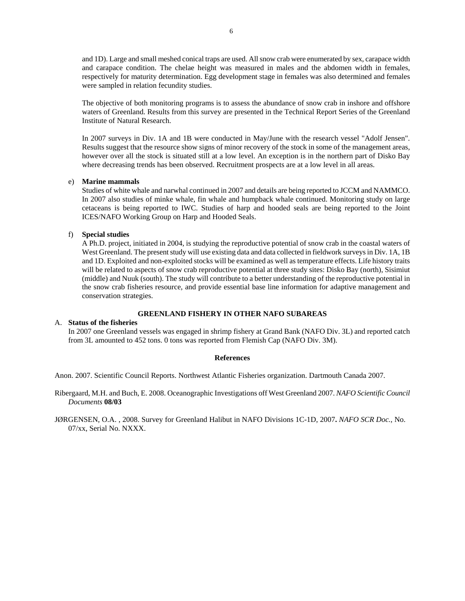and 1D). Large and small meshed conical traps are used. All snow crab were enumerated by sex, carapace width and carapace condition. The chelae height was measured in males and the abdomen width in females, respectively for maturity determination. Egg development stage in females was also determined and females were sampled in relation fecundity studies.

The objective of both monitoring programs is to assess the abundance of snow crab in inshore and offshore waters of Greenland. Results from this survey are presented in the Technical Report Series of the Greenland Institute of Natural Research.

In 2007 surveys in Div. 1A and 1B were conducted in May/June with the research vessel "Adolf Jensen". Results suggest that the resource show signs of minor recovery of the stock in some of the management areas, however over all the stock is situated still at a low level. An exception is in the northern part of Disko Bay where decreasing trends has been observed. Recruitment prospects are at a low level in all areas.

#### e) **Marine mammals**

Studies of white whale and narwhal continued in 2007 and details are being reported to JCCM and NAMMCO. In 2007 also studies of minke whale, fin whale and humpback whale continued. Monitoring study on large cetaceans is being reported to IWC. Studies of harp and hooded seals are being reported to the Joint ICES/NAFO Working Group on Harp and Hooded Seals.

## f) **Special studies**

A Ph.D. project, initiated in 2004, is studying the reproductive potential of snow crab in the coastal waters of West Greenland. The present study will use existing data and data collected in fieldwork surveys in Div. 1A, 1B and 1D. Exploited and non-exploited stocks will be examined as well as temperature effects. Life history traits will be related to aspects of snow crab reproductive potential at three study sites: Disko Bay (north), Sisimiut (middle) and Nuuk (south). The study will contribute to a better understanding of the reproductive potential in the snow crab fisheries resource, and provide essential base line information for adaptive management and conservation strategies.

# **GREENLAND FISHERY IN OTHER NAFO SUBAREAS**

### A. **Status of the fisheries**

In 2007 one Greenland vessels was engaged in shrimp fishery at Grand Bank (NAFO Div. 3L) and reported catch from 3L amounted to 452 tons. 0 tons was reported from Flemish Cap (NAFO Div. 3M).

#### **References**

Anon. 2007. Scientific Council Reports. Northwest Atlantic Fisheries organization. Dartmouth Canada 2007.

Ribergaard, M.H. and Buch, E. 2008. Oceanographic Investigations off West Greenland 2007. *NAFO Scientific Council Documents* **08/03**

JØRGENSEN, O.A. , 2008. Survey for Greenland Halibut in NAFO Divisions 1C-1D, 2007**.** *NAFO SCR Doc.*, No. 07/xx, Serial No. NXXX.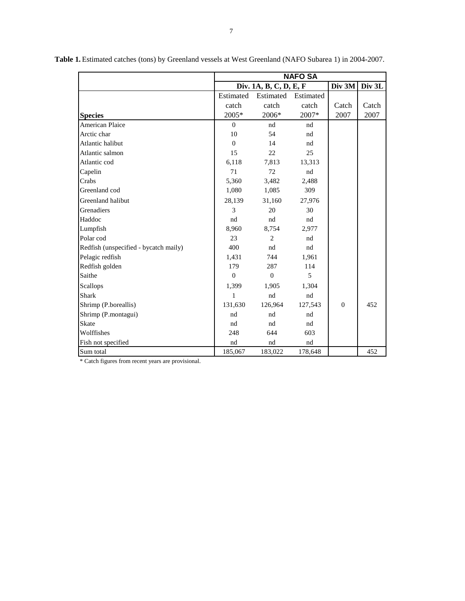|                                       | <b>NAFO SA</b>         |           |           |                |        |
|---------------------------------------|------------------------|-----------|-----------|----------------|--------|
|                                       | Div. 1A, B, C, D, E, F |           |           | Div 3M         | Div 3L |
|                                       | Estimated              | Estimated | Estimated |                |        |
|                                       | catch                  | catch     | catch     | Catch          | Catch  |
| <b>Species</b>                        | 2005*                  | 2006*     | 2007*     | 2007           | 2007   |
| <b>American Plaice</b>                | $\Omega$               | nd        | nd        |                |        |
| Arctic char                           | 10                     | 54        | nd        |                |        |
| Atlantic halibut                      | $\mathbf{0}$           | 14        | nd        |                |        |
| Atlantic salmon                       | 15                     | 22        | 25        |                |        |
| Atlantic cod                          | 6,118                  | 7,813     | 13,313    |                |        |
| Capelin                               | 71                     | 72        | nd        |                |        |
| Crabs                                 | 5,360                  | 3,482     | 2,488     |                |        |
| Greenland cod                         | 1,080                  | 1,085     | 309       |                |        |
| Greenland halibut                     | 28,139                 | 31,160    | 27,976    |                |        |
| Grenadiers                            | 3                      | 20        | 30        |                |        |
| Haddoc                                | nd                     | nd        | nd        |                |        |
| Lumpfish                              | 8,960                  | 8,754     | 2,977     |                |        |
| Polar cod                             | 23                     | 2         | nd        |                |        |
| Redfish (unspecified - bycatch maily) | 400                    | nd        | nd        |                |        |
| Pelagic redfish                       | 1,431                  | 744       | 1,961     |                |        |
| Redfish golden                        | 179                    | 287       | 114       |                |        |
| Saithe                                | $\Omega$               | $\Omega$  | 5         |                |        |
| Scallops                              | 1,399                  | 1,905     | 1,304     |                |        |
| <b>Shark</b>                          | 1                      | nd        | nd        |                |        |
| Shrimp (P.boreallis)                  | 131,630                | 126,964   | 127,543   | $\overline{0}$ | 452    |
| Shrimp (P.montagui)                   | nd                     | nd        | nd        |                |        |
| <b>Skate</b>                          | nd                     | nd        | nd        |                |        |
| Wolffishes                            | 248                    | 644       | 603       |                |        |
| Fish not specified                    | nd                     | nd        | nd        |                |        |
| Sum total                             | 185,067                | 183,022   | 178,648   |                | 452    |

**Table 1.** Estimated catches (tons) by Greenland vessels at West Greenland (NAFO Subarea 1) in 2004-2007.

\* Catch figures from recent years are provisional.